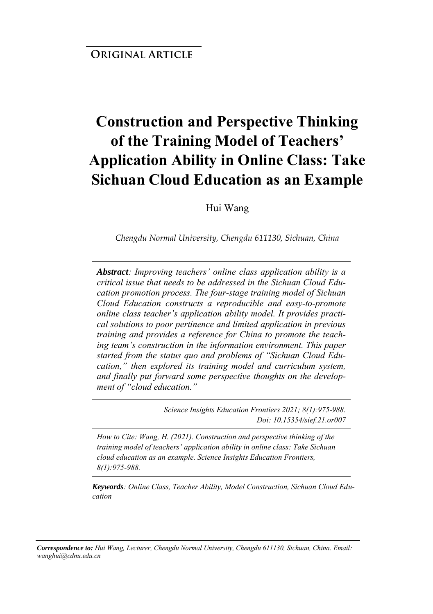# **Construction and Perspective Thinking of the Training Model of Teachers' Application Ability in Online Class: Take Sichuan Cloud Education as an Example**

Hui Wang

*Chengdu Normal University, Chengdu 611130, Sichuan, China*

*Abstract: Improving teachers' online class application ability is a critical issue that needs to be addressed in the Sichuan Cloud Education promotion process. The four-stage training model of Sichuan Cloud Education constructs a reproducible and easy-to-promote online class teacher's application ability model. It provides practical solutions to poor pertinence and limited application in previous training and provides a reference for China to promote the teaching team's construction in the information environment. This paper started from the status quo and problems of "Sichuan Cloud Education," then explored its training model and curriculum system, and finally put forward some perspective thoughts on the development of "cloud education."*

> *Science Insights Education Frontiers 2021; 8(1):975-988. Doi: 10.15354/sief.21.or007*

*How to Cite: Wang, H. (2021). Construction and perspective thinking of the training model of teachers' application ability in online class: Take Sichuan cloud education as an example. Science Insights Education Frontiers, 8(1):975-988.*

*Keywords: Online Class, Teacher Ability, Model Construction, Sichuan Cloud Education*

*Correspondence to: Hui Wang, Lecturer, Chengdu Normal University, Chengdu 611130, Sichuan, China. Email: wanghui@cdnu.edu.cn*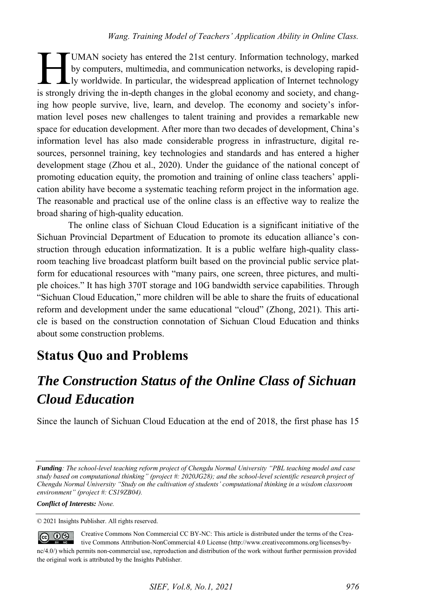UMAN society has entered the 21st century. Information technology, marked by computers, multimedia, and communication networks, is developing rapidly worldwide. In particular, the widespread application of Internet technology UMAN society has entered the 21st century. Information technology, marked<br>by computers, multimedia, and communication networks, is developing rapid-<br>ly worldwide. In particular, the widespread application of Internet techn ing how people survive, live, learn, and develop. The economy and society's information level poses new challenges to talent training and provides a remarkable new space for education development. After more than two decades of development, China's information level has also made considerable progress in infrastructure, digital resources, personnel training, key technologies and standards and has entered a higher development stage (Zhou et al., 2020). Under the guidance of the national concept of promoting education equity, the promotion and training of online class teachers' application ability have become a systematic teaching reform project in the information age. The reasonable and practical use of the online class is an effective way to realize the broad sharing of high-quality education.

The online class of Sichuan Cloud Education is a significant initiative of the Sichuan Provincial Department of Education to promote its education alliance's construction through education informatization. It is a public welfare high-quality classroom teaching live broadcast platform built based on the provincial public service platform for educational resources with "many pairs, one screen, three pictures, and multiple choices." It has high 370T storage and 10G bandwidth service capabilities. Through "Sichuan Cloud Education," more children will be able to share the fruits of educational reform and development under the same educational "cloud" (Zhong, 2021). This article is based on the construction connotation of Sichuan Cloud Education and thinks about some construction problems.

#### **Status Quo and Problems**

#### *The Construction Status of the Online Class of Sichuan Cloud Education*

Since the launch of Sichuan Cloud Education at the end of 2018, the first phase has 15

*Conflict of Interests: None.* 

© 2021 Insights Publisher. All rights reserved.

 $\circledcirc$   $\circledcirc$ Creative Commons Non Commercial CC BY-NC: This article is distributed under the terms of the Creative Commons Attribution-NonCommercial 4.0 License (http://www.creativecommons.org/licenses/bync/4.0/) which permits non-commercial use, reproduction and distribution of the work without further permission provided the original work is attributed by the Insights Publisher.

*Funding: The school-level teaching reform project of Chengdu Normal University "PBL teaching model and case study based on computational thinking" (project #: 2020JG28); and the school-level scientific research project of Chengdu Normal University "Study on the cultivation of students' computational thinking in a wisdom classroom environment" (project #: CS19ZB04).*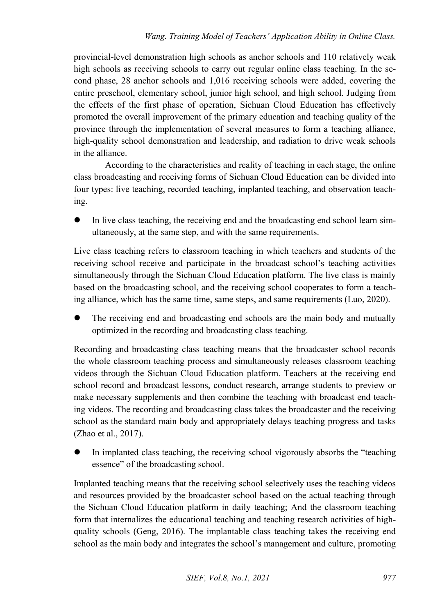provincial-level demonstration high schools as anchor schools and 110 relatively weak high schools as receiving schools to carry out regular online class teaching. In the second phase, 28 anchor schools and 1,016 receiving schools were added, covering the entire preschool, elementary school, junior high school, and high school. Judging from the effects of the first phase of operation, Sichuan Cloud Education has effectively promoted the overall improvement of the primary education and teaching quality of the province through the implementation of several measures to form a teaching alliance, high-quality school demonstration and leadership, and radiation to drive weak schools in the alliance.

According to the characteristics and reality of teaching in each stage, the online class broadcasting and receiving forms of Sichuan Cloud Education can be divided into four types: live teaching, recorded teaching, implanted teaching, and observation teaching.

 In live class teaching, the receiving end and the broadcasting end school learn simultaneously, at the same step, and with the same requirements.

Live class teaching refers to classroom teaching in which teachers and students of the receiving school receive and participate in the broadcast school's teaching activities simultaneously through the Sichuan Cloud Education platform. The live class is mainly based on the broadcasting school, and the receiving school cooperates to form a teaching alliance, which has the same time, same steps, and same requirements (Luo, 2020).

 The receiving end and broadcasting end schools are the main body and mutually optimized in the recording and broadcasting class teaching.

Recording and broadcasting class teaching means that the broadcaster school records the whole classroom teaching process and simultaneously releases classroom teaching videos through the Sichuan Cloud Education platform. Teachers at the receiving end school record and broadcast lessons, conduct research, arrange students to preview or make necessary supplements and then combine the teaching with broadcast end teaching videos. The recording and broadcasting class takes the broadcaster and the receiving school as the standard main body and appropriately delays teaching progress and tasks (Zhao et al., 2017).

 In implanted class teaching, the receiving school vigorously absorbs the "teaching essence" of the broadcasting school.

Implanted teaching means that the receiving school selectively uses the teaching videos and resources provided by the broadcaster school based on the actual teaching through the Sichuan Cloud Education platform in daily teaching; And the classroom teaching form that internalizes the educational teaching and teaching research activities of highquality schools (Geng, 2016). The implantable class teaching takes the receiving end school as the main body and integrates the school's management and culture, promoting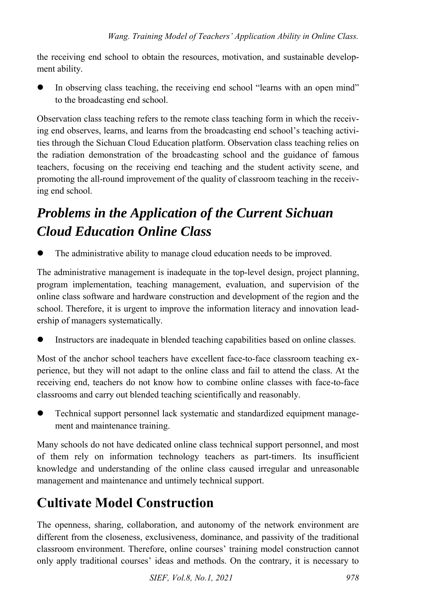the receiving end school to obtain the resources, motivation, and sustainable development ability.

 In observing class teaching, the receiving end school "learns with an open mind" to the broadcasting end school.

Observation class teaching refers to the remote class teaching form in which the receiving end observes, learns, and learns from the broadcasting end school's teaching activities through the Sichuan Cloud Education platform. Observation class teaching relies on the radiation demonstration of the broadcasting school and the guidance of famous teachers, focusing on the receiving end teaching and the student activity scene, and promoting the all-round improvement of the quality of classroom teaching in the receiving end school.

## *Problems in the Application of the Current Sichuan Cloud Education Online Class*

The administrative ability to manage cloud education needs to be improved.

The administrative management is inadequate in the top-level design, project planning, program implementation, teaching management, evaluation, and supervision of the online class software and hardware construction and development of the region and the school. Therefore, it is urgent to improve the information literacy and innovation leadership of managers systematically.

Instructors are inadequate in blended teaching capabilities based on online classes.

Most of the anchor school teachers have excellent face-to-face classroom teaching experience, but they will not adapt to the online class and fail to attend the class. At the receiving end, teachers do not know how to combine online classes with face-to-face classrooms and carry out blended teaching scientifically and reasonably.

 Technical support personnel lack systematic and standardized equipment management and maintenance training.

Many schools do not have dedicated online class technical support personnel, and most of them rely on information technology teachers as part-timers. Its insufficient knowledge and understanding of the online class caused irregular and unreasonable management and maintenance and untimely technical support.

#### **Cultivate Model Construction**

The openness, sharing, collaboration, and autonomy of the network environment are different from the closeness, exclusiveness, dominance, and passivity of the traditional classroom environment. Therefore, online courses' training model construction cannot only apply traditional courses' ideas and methods. On the contrary, it is necessary to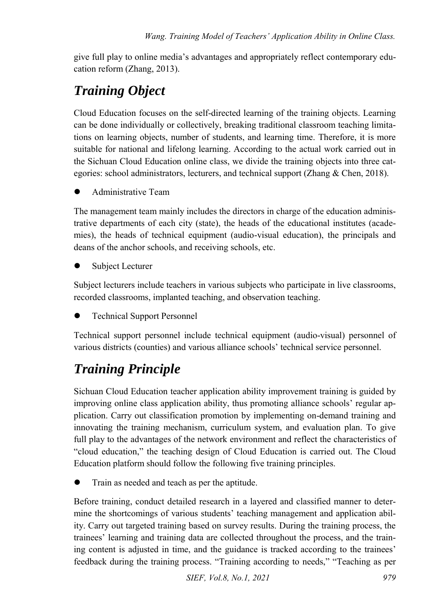give full play to online media's advantages and appropriately reflect contemporary education reform (Zhang, 2013).

## *Training Object*

Cloud Education focuses on the self-directed learning of the training objects. Learning can be done individually or collectively, breaking traditional classroom teaching limitations on learning objects, number of students, and learning time. Therefore, it is more suitable for national and lifelong learning. According to the actual work carried out in the Sichuan Cloud Education online class, we divide the training objects into three categories: school administrators, lecturers, and technical support (Zhang & Chen, 2018).

Administrative Team

The management team mainly includes the directors in charge of the education administrative departments of each city (state), the heads of the educational institutes (academies), the heads of technical equipment (audio-visual education), the principals and deans of the anchor schools, and receiving schools, etc.

Subject Lecturer

Subject lecturers include teachers in various subjects who participate in live classrooms, recorded classrooms, implanted teaching, and observation teaching.

Technical Support Personnel

Technical support personnel include technical equipment (audio-visual) personnel of various districts (counties) and various alliance schools' technical service personnel.

## *Training Principle*

Sichuan Cloud Education teacher application ability improvement training is guided by improving online class application ability, thus promoting alliance schools' regular application. Carry out classification promotion by implementing on-demand training and innovating the training mechanism, curriculum system, and evaluation plan. To give full play to the advantages of the network environment and reflect the characteristics of "cloud education," the teaching design of Cloud Education is carried out. The Cloud Education platform should follow the following five training principles.

Train as needed and teach as per the aptitude.

Before training, conduct detailed research in a layered and classified manner to determine the shortcomings of various students' teaching management and application ability. Carry out targeted training based on survey results. During the training process, the trainees' learning and training data are collected throughout the process, and the training content is adjusted in time, and the guidance is tracked according to the trainees' feedback during the training process. "Training according to needs," "Teaching as per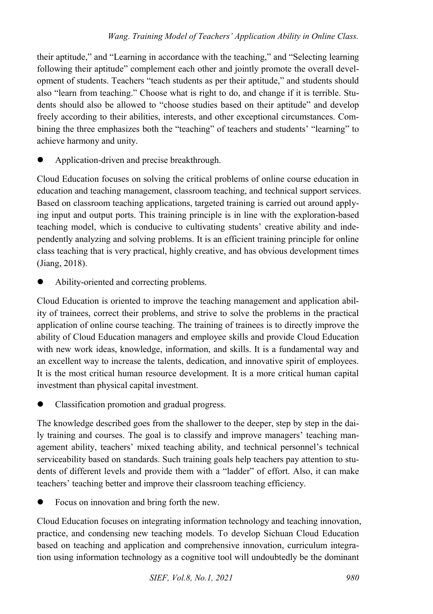their aptitude," and "Learning in accordance with the teaching," and "Selecting learning following their aptitude" complement each other and jointly promote the overall development of students. Teachers "teach students as per their aptitude," and students should also "learn from teaching." Choose what is right to do, and change if it is terrible. Students should also be allowed to "choose studies based on their aptitude" and develop freely according to their abilities, interests, and other exceptional circumstances. Combining the three emphasizes both the "teaching" of teachers and students' "learning" to achieve harmony and unity.

Application-driven and precise breakthrough.

Cloud Education focuses on solving the critical problems of online course education in education and teaching management, classroom teaching, and technical support services. Based on classroom teaching applications, targeted training is carried out around applying input and output ports. This training principle is in line with the exploration-based teaching model, which is conducive to cultivating students' creative ability and independently analyzing and solving problems. It is an efficient training principle for online class teaching that is very practical, highly creative, and has obvious development times (Jiang, 2018).

Ability-oriented and correcting problems.

Cloud Education is oriented to improve the teaching management and application ability of trainees, correct their problems, and strive to solve the problems in the practical application of online course teaching. The training of trainees is to directly improve the ability of Cloud Education managers and employee skills and provide Cloud Education with new work ideas, knowledge, information, and skills. It is a fundamental way and an excellent way to increase the talents, dedication, and innovative spirit of employees. It is the most critical human resource development. It is a more critical human capital investment than physical capital investment.

Classification promotion and gradual progress.

The knowledge described goes from the shallower to the deeper, step by step in the daily training and courses. The goal is to classify and improve managers' teaching management ability, teachers' mixed teaching ability, and technical personnel's technical serviceability based on standards. Such training goals help teachers pay attention to students of different levels and provide them with a "ladder" of effort. Also, it can make teachers' teaching better and improve their classroom teaching efficiency.

Focus on innovation and bring forth the new.

Cloud Education focuses on integrating information technology and teaching innovation, practice, and condensing new teaching models. To develop Sichuan Cloud Education based on teaching and application and comprehensive innovation, curriculum integration using information technology as a cognitive tool will undoubtedly be the dominant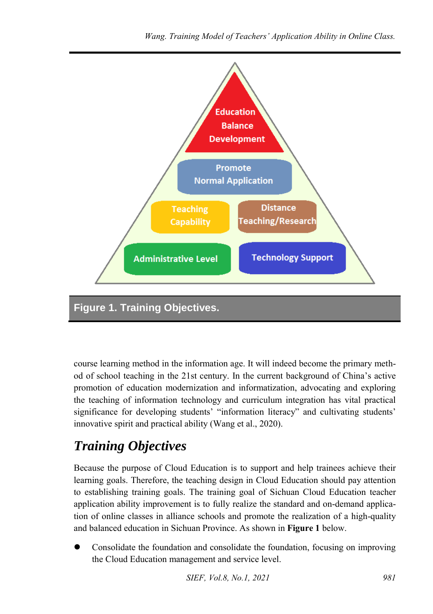

course learning method in the information age. It will indeed become the primary method of school teaching in the 21st century. In the current background of China's active promotion of education modernization and informatization, advocating and exploring the teaching of information technology and curriculum integration has vital practical significance for developing students' "information literacy" and cultivating students' innovative spirit and practical ability (Wang et al., 2020).

#### *Training Objectives*

Because the purpose of Cloud Education is to support and help trainees achieve their learning goals. Therefore, the teaching design in Cloud Education should pay attention to establishing training goals. The training goal of Sichuan Cloud Education teacher application ability improvement is to fully realize the standard and on-demand application of online classes in alliance schools and promote the realization of a high-quality and balanced education in Sichuan Province. As shown in **Figure 1** below.

 Consolidate the foundation and consolidate the foundation, focusing on improving the Cloud Education management and service level.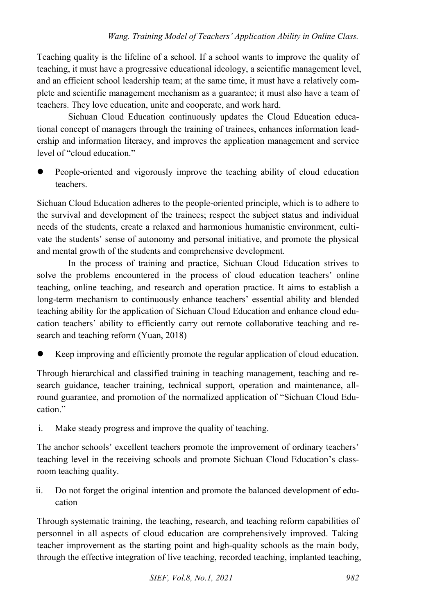Teaching quality is the lifeline of a school. If a school wants to improve the quality of teaching, it must have a progressive educational ideology, a scientific management level, and an efficient school leadership team; at the same time, it must have a relatively complete and scientific management mechanism as a guarantee; it must also have a team of teachers. They love education, unite and cooperate, and work hard.

Sichuan Cloud Education continuously updates the Cloud Education educational concept of managers through the training of trainees, enhances information leadership and information literacy, and improves the application management and service level of "cloud education."

 People-oriented and vigorously improve the teaching ability of cloud education teachers.

Sichuan Cloud Education adheres to the people-oriented principle, which is to adhere to the survival and development of the trainees; respect the subject status and individual needs of the students, create a relaxed and harmonious humanistic environment, cultivate the students' sense of autonomy and personal initiative, and promote the physical and mental growth of the students and comprehensive development.

In the process of training and practice, Sichuan Cloud Education strives to solve the problems encountered in the process of cloud education teachers' online teaching, online teaching, and research and operation practice. It aims to establish a long-term mechanism to continuously enhance teachers' essential ability and blended teaching ability for the application of Sichuan Cloud Education and enhance cloud education teachers' ability to efficiently carry out remote collaborative teaching and research and teaching reform (Yuan, 2018)

Keep improving and efficiently promote the regular application of cloud education.

Through hierarchical and classified training in teaching management, teaching and research guidance, teacher training, technical support, operation and maintenance, allround guarantee, and promotion of the normalized application of "Sichuan Cloud Education."

i. Make steady progress and improve the quality of teaching.

The anchor schools' excellent teachers promote the improvement of ordinary teachers' teaching level in the receiving schools and promote Sichuan Cloud Education's classroom teaching quality.

ii. Do not forget the original intention and promote the balanced development of education

Through systematic training, the teaching, research, and teaching reform capabilities of personnel in all aspects of cloud education are comprehensively improved. Taking teacher improvement as the starting point and high-quality schools as the main body, through the effective integration of live teaching, recorded teaching, implanted teaching,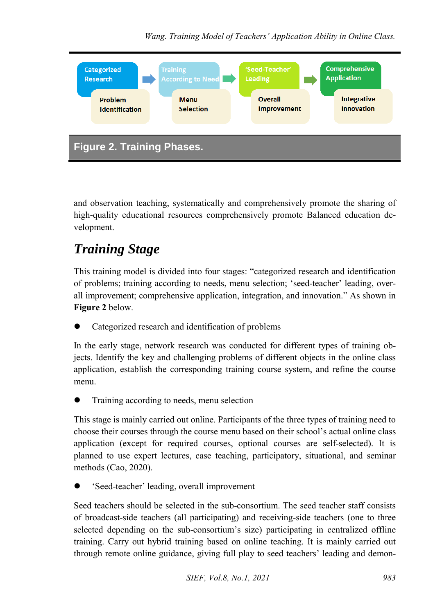

and observation teaching, systematically and comprehensively promote the sharing of high-quality educational resources comprehensively promote Balanced education development.

## *Training Stage*

This training model is divided into four stages: "categorized research and identification of problems; training according to needs, menu selection; 'seed-teacher' leading, overall improvement; comprehensive application, integration, and innovation." As shown in **Figure 2** below.

Categorized research and identification of problems

In the early stage, network research was conducted for different types of training objects. Identify the key and challenging problems of different objects in the online class application, establish the corresponding training course system, and refine the course menu.

Training according to needs, menu selection

This stage is mainly carried out online. Participants of the three types of training need to choose their courses through the course menu based on their school's actual online class application (except for required courses, optional courses are self-selected). It is planned to use expert lectures, case teaching, participatory, situational, and seminar methods (Cao, 2020).

'Seed-teacher' leading, overall improvement

Seed teachers should be selected in the sub-consortium. The seed teacher staff consists of broadcast-side teachers (all participating) and receiving-side teachers (one to three selected depending on the sub-consortium's size) participating in centralized offline training. Carry out hybrid training based on online teaching. It is mainly carried out through remote online guidance, giving full play to seed teachers' leading and demon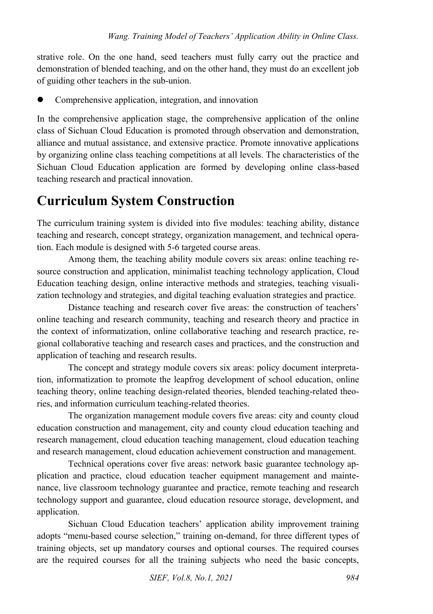strative role. On the one hand, seed teachers must fully carry out the practice and demonstration of blended teaching, and on the other hand, they must do an excellent job of guiding other teachers in the sub-union.

Comprehensive application, integration, and innovation

In the comprehensive application stage, the comprehensive application of the online class of Sichuan Cloud Education is promoted through observation and demonstration, alliance and mutual assistance, and extensive practice. Promote innovative applications by organizing online class teaching competitions at all levels. The characteristics of the Sichuan Cloud Education application are formed by developing online class-based teaching research and practical innovation.

## **Curriculum System Construction**

The curriculum training system is divided into five modules: teaching ability, distance teaching and research, concept strategy, organization management, and technical operation. Each module is designed with 5-6 targeted course areas.

Among them, the teaching ability module covers six areas: online teaching resource construction and application, minimalist teaching technology application, Cloud Education teaching design, online interactive methods and strategies, teaching visualization technology and strategies, and digital teaching evaluation strategies and practice.

Distance teaching and research cover five areas: the construction of teachers' online teaching and research community, teaching and research theory and practice in the context of informatization, online collaborative teaching and research practice, regional collaborative teaching and research cases and practices, and the construction and application of teaching and research results.

The concept and strategy module covers six areas: policy document interpretation, informatization to promote the leapfrog development of school education, online teaching theory, online teaching design-related theories, blended teaching-related theories, and information curriculum teaching-related theories.

The organization management module covers five areas: city and county cloud education construction and management, city and county cloud education teaching and research management, cloud education teaching management, cloud education teaching and research management, cloud education achievement construction and management.

Technical operations cover five areas: network basic guarantee technology application and practice, cloud education teacher equipment management and maintenance, live classroom technology guarantee and practice, remote teaching and research technology support and guarantee, cloud education resource storage, development, and application.

Sichuan Cloud Education teachers' application ability improvement training adopts "menu-based course selection," training on-demand, for three different types of training objects, set up mandatory courses and optional courses. The required courses are the required courses for all the training subjects who need the basic concepts,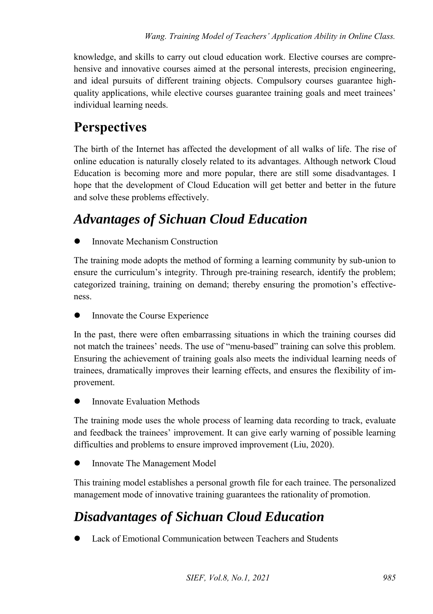knowledge, and skills to carry out cloud education work. Elective courses are comprehensive and innovative courses aimed at the personal interests, precision engineering, and ideal pursuits of different training objects. Compulsory courses guarantee highquality applications, while elective courses guarantee training goals and meet trainees' individual learning needs.

#### **Perspectives**

The birth of the Internet has affected the development of all walks of life. The rise of online education is naturally closely related to its advantages. Although network Cloud Education is becoming more and more popular, there are still some disadvantages. I hope that the development of Cloud Education will get better and better in the future and solve these problems effectively.

#### *Advantages of Sichuan Cloud Education*

Innovate Mechanism Construction

The training mode adopts the method of forming a learning community by sub-union to ensure the curriculum's integrity. Through pre-training research, identify the problem; categorized training, training on demand; thereby ensuring the promotion's effectiveness.

Innovate the Course Experience

In the past, there were often embarrassing situations in which the training courses did not match the trainees' needs. The use of "menu-based" training can solve this problem. Ensuring the achievement of training goals also meets the individual learning needs of trainees, dramatically improves their learning effects, and ensures the flexibility of improvement.

Innovate Evaluation Methods

The training mode uses the whole process of learning data recording to track, evaluate and feedback the trainees' improvement. It can give early warning of possible learning difficulties and problems to ensure improved improvement (Liu, 2020).

Innovate The Management Model

This training model establishes a personal growth file for each trainee. The personalized management mode of innovative training guarantees the rationality of promotion.

#### *Disadvantages of Sichuan Cloud Education*

Lack of Emotional Communication between Teachers and Students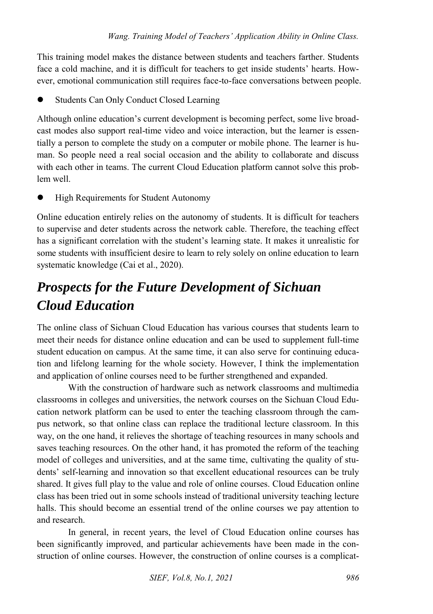This training model makes the distance between students and teachers farther. Students face a cold machine, and it is difficult for teachers to get inside students' hearts. However, emotional communication still requires face-to-face conversations between people.

Students Can Only Conduct Closed Learning

Although online education's current development is becoming perfect, some live broadcast modes also support real-time video and voice interaction, but the learner is essentially a person to complete the study on a computer or mobile phone. The learner is human. So people need a real social occasion and the ability to collaborate and discuss with each other in teams. The current Cloud Education platform cannot solve this problem well.

High Requirements for Student Autonomy

Online education entirely relies on the autonomy of students. It is difficult for teachers to supervise and deter students across the network cable. Therefore, the teaching effect has a significant correlation with the student's learning state. It makes it unrealistic for some students with insufficient desire to learn to rely solely on online education to learn systematic knowledge (Cai et al., 2020).

## *Prospects for the Future Development of Sichuan Cloud Education*

The online class of Sichuan Cloud Education has various courses that students learn to meet their needs for distance online education and can be used to supplement full-time student education on campus. At the same time, it can also serve for continuing education and lifelong learning for the whole society. However, I think the implementation and application of online courses need to be further strengthened and expanded.

With the construction of hardware such as network classrooms and multimedia classrooms in colleges and universities, the network courses on the Sichuan Cloud Education network platform can be used to enter the teaching classroom through the campus network, so that online class can replace the traditional lecture classroom. In this way, on the one hand, it relieves the shortage of teaching resources in many schools and saves teaching resources. On the other hand, it has promoted the reform of the teaching model of colleges and universities, and at the same time, cultivating the quality of students' self-learning and innovation so that excellent educational resources can be truly shared. It gives full play to the value and role of online courses. Cloud Education online class has been tried out in some schools instead of traditional university teaching lecture halls. This should become an essential trend of the online courses we pay attention to and research.

In general, in recent years, the level of Cloud Education online courses has been significantly improved, and particular achievements have been made in the construction of online courses. However, the construction of online courses is a complicat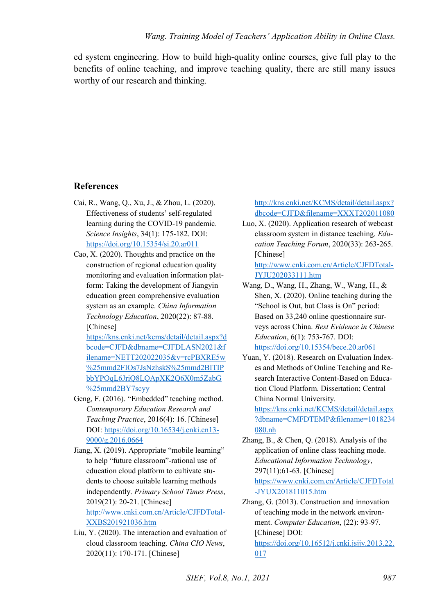ed system engineering. How to build high-quality online courses, give full play to the benefits of online teaching, and improve teaching quality, there are still many issues worthy of our research and thinking.

#### **References**

- Cai, R., Wang, Q., Xu, J., & Zhou, L. (2020). Effectiveness of students' self-regulated learning during the COVID-19 pandemic. *Science Insights*, 34(1): 175-182. DOI: <https://doi.org/10.15354/si.20.ar011>
- Cao, X. (2020). Thoughts and practice on the construction of regional education quality monitoring and evaluation information platform: Taking the development of Jiangyin education green comprehensive evaluation system as an example. *China Information Technology Education*, 2020(22): 87-88. [Chinese]

[https://kns.cnki.net/kcms/detail/detail.aspx?d](https://kns.cnki.net/kcms/detail/detail.aspx?dbcode=CJFD&dbname=CJFDLASN2021&filename=NETT202022035&v=rcPBXRE5w%25mmd2FIOs7JsNzhskS%25mmd2BITIPbbYPOqL6JriQ8LQApXK2Q6X0m5ZabG%25mmd2BY7scyy) [bcode=CJFD&dbname=CJFDLASN2021&f](https://kns.cnki.net/kcms/detail/detail.aspx?dbcode=CJFD&dbname=CJFDLASN2021&filename=NETT202022035&v=rcPBXRE5w%25mmd2FIOs7JsNzhskS%25mmd2BITIPbbYPOqL6JriQ8LQApXK2Q6X0m5ZabG%25mmd2BY7scyy) [ilename=NETT202022035&v=rcPBXRE5w](https://kns.cnki.net/kcms/detail/detail.aspx?dbcode=CJFD&dbname=CJFDLASN2021&filename=NETT202022035&v=rcPBXRE5w%25mmd2FIOs7JsNzhskS%25mmd2BITIPbbYPOqL6JriQ8LQApXK2Q6X0m5ZabG%25mmd2BY7scyy) [%25mmd2FIOs7JsNzhskS%25mmd2BITIP](https://kns.cnki.net/kcms/detail/detail.aspx?dbcode=CJFD&dbname=CJFDLASN2021&filename=NETT202022035&v=rcPBXRE5w%25mmd2FIOs7JsNzhskS%25mmd2BITIPbbYPOqL6JriQ8LQApXK2Q6X0m5ZabG%25mmd2BY7scyy) [bbYPOqL6JriQ8LQApXK2Q6X0m5ZabG](https://kns.cnki.net/kcms/detail/detail.aspx?dbcode=CJFD&dbname=CJFDLASN2021&filename=NETT202022035&v=rcPBXRE5w%25mmd2FIOs7JsNzhskS%25mmd2BITIPbbYPOqL6JriQ8LQApXK2Q6X0m5ZabG%25mmd2BY7scyy) [%25mmd2BY7scyy](https://kns.cnki.net/kcms/detail/detail.aspx?dbcode=CJFD&dbname=CJFDLASN2021&filename=NETT202022035&v=rcPBXRE5w%25mmd2FIOs7JsNzhskS%25mmd2BITIPbbYPOqL6JriQ8LQApXK2Q6X0m5ZabG%25mmd2BY7scyy) 

- Geng, F. (2016). "Embedded" teaching method. *Contemporary Education Research and Teaching Practice*, 2016(4): 16. [Chinese] DOI: [https://doi.org/10.16534/j.cnki.cn13-](https://doi.org/10.16534/j.cnki.cn13-9000/g.2016.0664) [9000/g.2016.0664](https://doi.org/10.16534/j.cnki.cn13-9000/g.2016.0664)
- Jiang, X. (2019). Appropriate "mobile learning" to help "future classroom"-rational use of education cloud platform to cultivate students to choose suitable learning methods independently. *Primary School Times Press*, 2019(21): 20-21. [Chinese] [http://www.cnki.com.cn/Article/CJFDTotal-](http://www.cnki.com.cn/Article/CJFDTotal-XXBS201921036.htm)[XXBS201921036.htm](http://www.cnki.com.cn/Article/CJFDTotal-XXBS201921036.htm)
- Liu, Y. (2020). The interaction and evaluation of cloud classroom teaching. *China CIO News*, 2020(11): 170-171. [Chinese]

[http://kns.cnki.net/KCMS/detail/detail.aspx?](http://kns.cnki.net/KCMS/detail/detail.aspx?dbcode=CJFD&filename=XXXT202011080) [dbcode=CJFD&filename=XXXT202011080](http://kns.cnki.net/KCMS/detail/detail.aspx?dbcode=CJFD&filename=XXXT202011080) 

Luo, X. (2020). Application research of webcast classroom system in distance teaching. *Education Teaching Forum*, 2020(33): 263-265. [Chinese]

[http://www.cnki.com.cn/Article/CJFDTotal-](http://www.cnki.com.cn/Article/CJFDTotal-JYJU202033111.htm)[JYJU202033111.htm](http://www.cnki.com.cn/Article/CJFDTotal-JYJU202033111.htm) 

- Wang, D., Wang, H., Zhang, W., Wang, H., & Shen, X. (2020). Online teaching during the "School is Out, but Class is On" period: Based on 33,240 online questionnaire surveys across China. *Best Evidence in Chinese Education*, 6(1): 753-767. DOI: <https://doi.org/10.15354/bece.20.ar061>
- Yuan, Y. (2018). Research on Evaluation Indexes and Methods of Online Teaching and Research Interactive Content-Based on Education Cloud Platform. Dissertation; Central China Normal University.

[https://kns.cnki.net/KCMS/detail/detail.aspx](https://kns.cnki.net/KCMS/detail/detail.aspx?dbname=CMFDTEMP&filename=1018234080.nh) [?dbname=CMFDTEMP&filename=1018234](https://kns.cnki.net/KCMS/detail/detail.aspx?dbname=CMFDTEMP&filename=1018234080.nh) [080.nh](https://kns.cnki.net/KCMS/detail/detail.aspx?dbname=CMFDTEMP&filename=1018234080.nh) 

Zhang, B., & Chen, Q. (2018). Analysis of the application of online class teaching mode. *Educational Information Technology*, 297(11):61-63. [Chinese] [https://www.cnki.com.cn/Article/CJFDTotal](https://www.cnki.com.cn/Article/CJFDTotal-JYUX201811015.htm) [-JYUX201811015.htm](https://www.cnki.com.cn/Article/CJFDTotal-JYUX201811015.htm) 

Zhang, G. (2013). Construction and innovation of teaching mode in the network environment. *Computer Education*, (22): 93-97. [Chinese] DOI: [https://doi.org/10.16512/j.cnki.jsjjy.2013.22.](https://doi.org/10.16512/j.cnki.jsjjy.2013.22.017)

[017](https://doi.org/10.16512/j.cnki.jsjjy.2013.22.017)